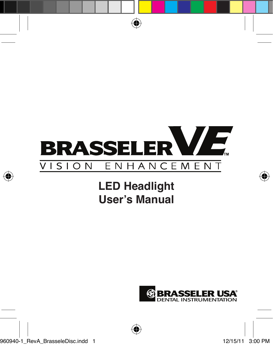

# **LED Headlight User's Manual**

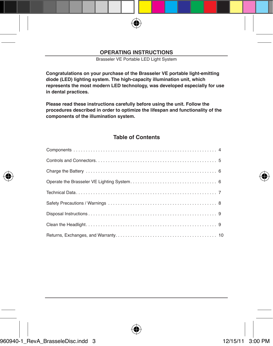Brasseler VE Portable LED Light System

**Congratulations on your purchase of the Brasseler VE portable light-emitting diode (LED) lighting system. The high-capacity illumination unit, which represents the most modern LED technology, was developed especially for use in dental practices.**

**Please read these instructions carefully before using the unit. Follow the procedures described in order to optimize the lifespan and functionality of the components of the illumination system.**

#### **Table of Contents**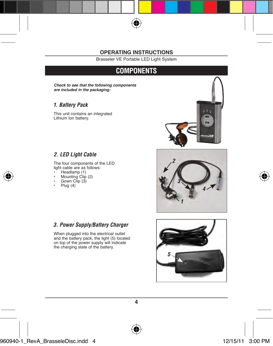Brasseler VE Portable LED Light System

### **Components**

**Check to see that the following components are included in the packaging:**

#### *1. Battery Pack*

This unit contains an integrated Lithium Ion battery.



#### *2. LED Light Cable*

The four components of the LED light cable are as follows:

- Headlamp (1)
- Mounting Clip (2)
- Gown Clip (3)
- Plug (4)

#### *3. Power Supply/Battery Charger*

When plugged into the electrical outlet and the battery pack, the light (5) located on top of the power supply will indicate the charging state of the battery.



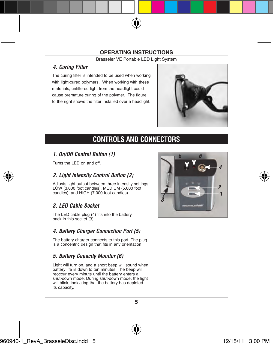Brasseler VE Portable LED Light System

#### *4. Curing Filter*

The curing filter is intended to be used when working with light-cured polymers. When working with these materials, unfiltered light from the headlight could cause premature curing of the polymer. The figure to the right shows the filter installed over a headlight.



# **Controls and Connectors**

#### *1. On/Off Control Button (1)*

Turns the LED on and off.

### *2. Light Intensity Control Button (2)*

Adjusts light output between three intensity settings: LOW (3,000 foot candles), MEDIUM (5,000 foot candles), and HIGH (7,000 foot candles).

### *3. LED Cable Socket*

The LED cable plug (4) fits into the battery pack in this socket (3).

#### *4. Battery Charger Connection Port (5)*

The battery charger connects to this port. The plug is a concentric design that fits in any orientation.

### *5. Battery Capacity Monitor (6)*

Light will turn on, and a short beep will sound when battery life is down to ten minutes. The beep will reoccur every minute until the battery enters a shut-down mode. During shut-down mode, the light will blink, indicating that the battery has depleted its capacity.

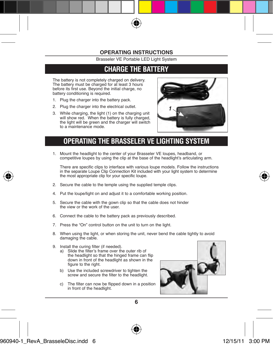Brasseler VE Portable LED Light System

### **Charge The Battery**

The battery is not completely charged on delivery. The battery must be charged for at least 3 hours before its first use. Beyond the initial charge, no battery conditioning is required.

- 1. Plug the charger into the battery pack.
- 2. Plug the charger into the electrical outlet.
- 3. While charging, the light (1) on the charging unit will show red. When the battery is fully charged. the light will be green and the charger will switch to a maintenance mode.



### **Operating the Brasseler VE Lighting System**

1. Mount the headlight to the center of your Brasseler VE loupes, headband, or competitive loupes by using the clip at the base of the headlight's articulating arm.

There are specific clips to interface with various loupe models. Follow the instructions in the separate Loupe Clip Connection Kit included with your light system to determine the most appropriate clip for your specific loupe.

- 2. Secure the cable to the temple using the supplied temple clips.
- 4. Put the loupe/light on and adjust it to a comfortable working position.
- 5. Secure the cable with the gown clip so that the cable does not hinder the view or the work of the user.
- 6. Connect the cable to the battery pack as previously described.
- 7. Press the "On" control button on the unit to turn on the light.
- 8. When using the light, or when storing the unit, never bend the cable tightly to avoid damaging the cable.
- 9. Install the curing filter (if needed).
	- a) Slide the filter's frame over the outer rib of the headlight so that the hinged frame can flip down in front of the headlight as shown in the figure to the right.
	- b) Use the included screwdriver to tighten the screw and secure the filter to the headlight.
	- c) The filter can now be flipped down in a position in front of the headlight.

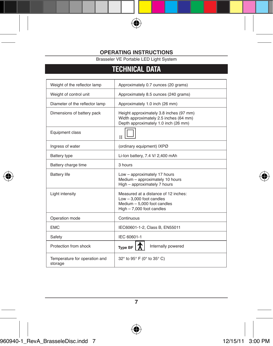Brasseler VE Portable LED Light System

# **Technical data**

| Weight of the reflector lamp             | Approximately 0.7 ounces (20 grams)                                                                                            |
|------------------------------------------|--------------------------------------------------------------------------------------------------------------------------------|
| Weight of control unit                   | Approximately 8.5 ounces (240 grams)                                                                                           |
| Diameter of the reflector lamp           | Approximately 1.0 inch (26 mm)                                                                                                 |
| Dimensions of battery pack               | Height approximately 3.8 inches (97 mm)<br>Width approximately 2.5 inches (64 mm)<br>Depth approximately 1.0 inch (26 mm)      |
| Equipment class                          | $\mathbf{H}$                                                                                                                   |
| Ingress of water                         | (ordinary equipment) IXPØ                                                                                                      |
| Battery type                             | Li-Ion battery, 7.4 V/ 2,400 mAh                                                                                               |
| Battery charge time                      | 3 hours                                                                                                                        |
| <b>Battery life</b>                      | Low - approximately 17 hours<br>Medium - approximately 10 hours<br>High - approximately 7 hours                                |
| Light intensity                          | Measured at a distance of 12 inches:<br>$Low - 3.000$ foot candles<br>Medium - 5,000 foot candles<br>High - 7,000 foot candles |
| Operation mode                           | Continuous                                                                                                                     |
| <b>FMC</b>                               | IEC60601-1-2, Class B, EN55011                                                                                                 |
| Safety                                   | IFC 60601-1                                                                                                                    |
| Protection from shock                    | Internally powered<br><b>Type BF</b>                                                                                           |
| Temperature for operation and<br>storage | 32° to 95° F (0° to 35° C)                                                                                                     |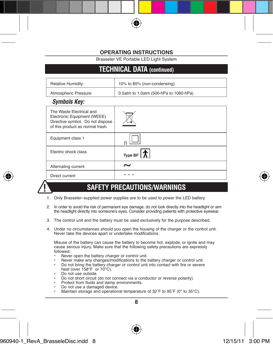Brasseler VE Portable LED Light System

### **Technical data (continued)**

| Relative Humidity:   | 10% to 85% (non-condensing)            |
|----------------------|----------------------------------------|
| Atmospheric Pressure | 0.5atm to 1.0atm (500-hPa to 1060-hPa) |

### *Symbols Key:*

| The Waste Flectrical and<br>Electronic Equipment (WEEE)<br>Directive symbol. Do not dispose<br>of this product as normal trash. |                                                |
|---------------------------------------------------------------------------------------------------------------------------------|------------------------------------------------|
| Equipment class 1                                                                                                               |                                                |
| Flectric shock class                                                                                                            | Type BF $\vert \boldsymbol{\mathcal{R}} \vert$ |
| Alternating current                                                                                                             | $\tilde{\phantom{a}}$                          |
| Direct current                                                                                                                  |                                                |



### **Safety Precautions/Warnings**

- 1. Only Brasseler–supplied power supplies are to be used to power the LED battery.
- 2. In order to avoid the risk of permanent eye damage, do not look directly into the headlight or aim the headlight directly into someone's eyes. Consider providing patients with protective eyewear.
- 3. The control unit and the battery must be used exclusively for the purpose described.
- 4. Under no circumstances should you open the housing of the charger or the control unit. Never take the devices apart or undertake modifications.

Misuse of the battery can cause the battery to become hot, explode, or ignite and may cause serious injury. Make sure that the following safety precautions are expressly followed:

- Never open the battery charger or control unit.
- Never make any changes/modifications to the battery charger or control unit.
- Do not bring the battery charger or control unit into contact with fire or severe heat (over 158°F or 70°C).
- Do not use outside.
- Do not short circuit (do not connect via a conductor or reverse polarity).<br>• Protect from fluids and damn environments
- Protect from fluids and damp environments.
- Do not use a damaged device.<br>• Maintain storage and operation
- Maintain storage and operational temperature of 32˚F to 95˚F (0° to 35°C).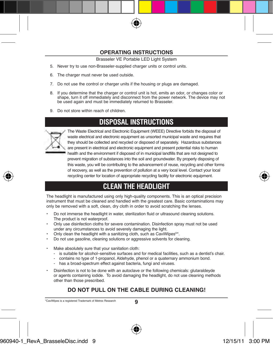Brasseler VE Portable LED Light System

- 5. Never try to use non-Brasseler-supplied charger units or control units.
- 6. The charger must never be used outside.
- 7. Do not use the control or charger units if the housing or plugs are damaged.
- 8. If you determine that the charger or control unit is hot, emits an odor, or changes color or shape, turn it off immediately and disconnect from the power network. The device may not be used again and must be immediately returned to Brasseler.
- 9. Do not store within reach of children.

### **Disposal Instructions**



The Waste Electrical and Electronic Equipment (WEEE) Directive forbids the disposal of waste electrical and electronic equipment as unsorted municipal waste and requires that they should be collected and recycled or disposed of separately. Hazardous substances are present in electrical and electronic equipment and present potential risks to human health and the environment if disposed of in municipal landfills that are not designed to prevent migration of substances into the soil and groundwater. By properly disposing of this waste, you will be contributing to the advancement of reuse, recycling and other forms of recovery, as well as the prevention of pollution at a very local level. Contact your local recycling center for location of appropriate recycling facility for electronic equipment.

### **Clean the Headlight**

The headlight is manufactured using only high-quality components. This is an optical precision instrument that must be cleaned and handled with the greatest care. Basic contaminations may only be removed with a soft, clean, dry cloth in order to avoid scratching the lenses.

- Do not immerse the headlight in water, sterilization fluid or ultrasound cleaning solutions. The product is not waterproof.
- Only use disinfection cloths for severe contamination. Disinfection spray must not be used under any circumstances to avoid severely damaging the light.
- Only clean the headlight with a sanitizing cloth, such as CaviWipes<sup>®\*</sup>.
- Do not use gasoline, cleaning solutions or aggressive solvents for cleaning.
- Make absolutely sure that your sanitation cloth:
	- is suitable for alcohol–sensitive surfaces and for medical facilities, such as a dentist's chair.
	- contains no type of 1-propanol, Aldehyde, phenol or a quaternary ammonium bond.
	- has a broad-spectrum effect against bacteria, fungi and viruses.
- Disinfection is not to be done with an autoclave or the following chemicals: glutaraldeyde or agents containing iodide. To avoid damaging the headlight, do not use cleaning methods other than those prescribed.

### **Do not pull on the cable during cleaning!**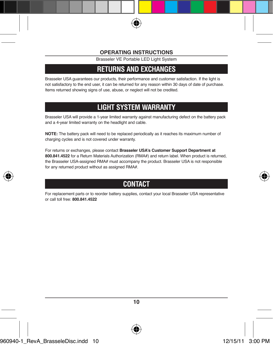Brasseler VE Portable LED Light System

### **returns and exchanges**

Brasseler USA guarantees our products, their performance and customer satisfaction. If the light is not satisfactory to the end user, it can be returned for any reason within 30 days of date of purchase. Items returned showing signs of use, abuse, or neglect will not be credited.

# **light system warranty**

Brasseler USA will provide a 1-year limited warranty against manufacturing defect on the battery pack and a 4-year limited warranty on the headlight and cable.

**NOTE:** The battery pack will need to be replaced periodically as it reaches its maximum number of charging cycles and is not covered under warranty.

For returns or exchanges, please contact **Brasseler USA's Customer Support Department at 800.841.4522** for a Return Materials Authorization (RMA#) and return label. When product is returned, the Brasseler USA-assigned RMA# must accompany the product. Brasseler USA is not responsible for any returned product without as assigned RMA#.

# **Contact**

For replacement parts or to reorder battery supplies, contact your local Brasseler USA representative or call toll free: **800.841.4522**